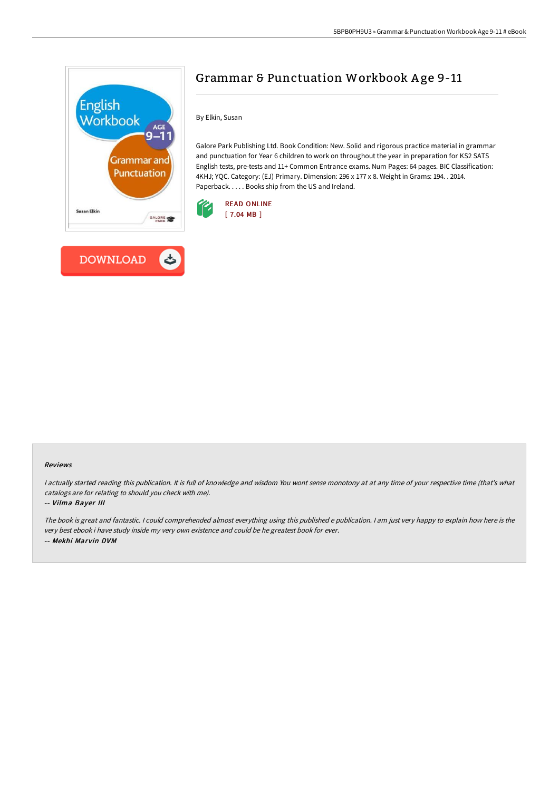

## Grammar & Punctuation Workbook A ge 9-11

By Elkin, Susan

Galore Park Publishing Ltd. Book Condition: New. Solid and rigorous practice material in grammar and punctuation for Year 6 children to work on throughout the year in preparation for KS2 SATS English tests, pre-tests and 11+ Common Entrance exams. Num Pages: 64 pages. BIC Classification: 4KHJ; YQC. Category: (EJ) Primary. Dimension: 296 x 177 x 8. Weight in Grams: 194. . 2014. Paperback. . . . . Books ship from the US and Ireland.



## Reviews

I actually started reading this publication. It is full of knowledge and wisdom You wont sense monotony at at any time of your respective time (that's what catalogs are for relating to should you check with me).

## -- Vilma Bayer III

The book is great and fantastic. <sup>I</sup> could comprehended almost everything using this published <sup>e</sup> publication. <sup>I</sup> am just very happy to explain how here is the very best ebook i have study inside my very own existence and could be he greatest book for ever. -- Mekhi Marvin DVM